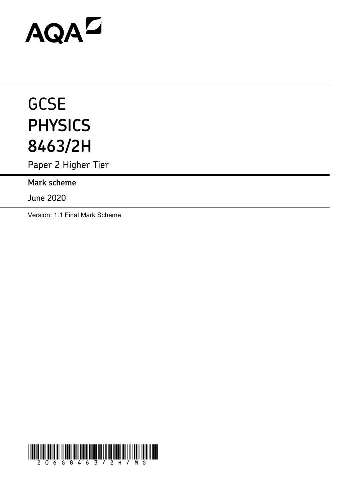# AQAD

# **GCSE PHYSICS 8463/2H**

Paper 2 Higher Tier

**Mark scheme**

June 2020

Version: 1.1 Final Mark Scheme

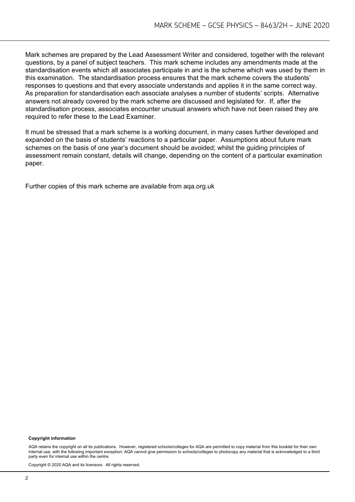Mark schemes are prepared by the Lead Assessment Writer and considered, together with the relevant questions, by a panel of subject teachers. This mark scheme includes any amendments made at the standardisation events which all associates participate in and is the scheme which was used by them in this examination. The standardisation process ensures that the mark scheme covers the students' responses to questions and that every associate understands and applies it in the same correct way. As preparation for standardisation each associate analyses a number of students' scripts. Alternative answers not already covered by the mark scheme are discussed and legislated for. If, after the standardisation process, associates encounter unusual answers which have not been raised they are required to refer these to the Lead Examiner.

It must be stressed that a mark scheme is a working document, in many cases further developed and expanded on the basis of students' reactions to a particular paper. Assumptions about future mark schemes on the basis of one year's document should be avoided; whilst the guiding principles of assessment remain constant, details will change, depending on the content of a particular examination paper.

Further copies of this mark scheme are available from aqa.org.uk

#### **Copyright information**

AQA retains the copyright on all its publications. However, registered schools/colleges for AQA are permitted to copy material from this booklet for their own internal use, with the following important exception: AQA cannot give permission to schools/colleges to photocopy any material that is acknowledged to a third party even for internal use within the centre.

Copyright © 2020 AQA and its licensors. All rights reserved.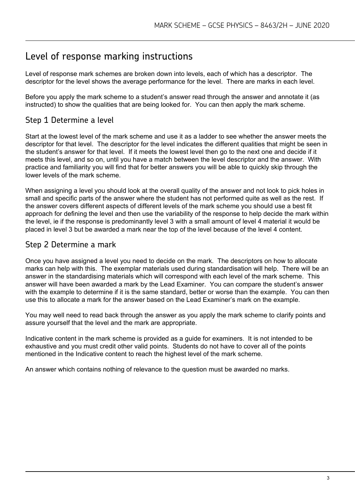# Level of response marking instructions

Level of response mark schemes are broken down into levels, each of which has a descriptor. The descriptor for the level shows the average performance for the level. There are marks in each level.

Before you apply the mark scheme to a student's answer read through the answer and annotate it (as instructed) to show the qualities that are being looked for. You can then apply the mark scheme.

# Step 1 Determine a level

Start at the lowest level of the mark scheme and use it as a ladder to see whether the answer meets the descriptor for that level. The descriptor for the level indicates the different qualities that might be seen in the student's answer for that level. If it meets the lowest level then go to the next one and decide if it meets this level, and so on, until you have a match between the level descriptor and the answer. With practice and familiarity you will find that for better answers you will be able to quickly skip through the lower levels of the mark scheme.

When assigning a level you should look at the overall quality of the answer and not look to pick holes in small and specific parts of the answer where the student has not performed quite as well as the rest. If the answer covers different aspects of different levels of the mark scheme you should use a best fit approach for defining the level and then use the variability of the response to help decide the mark within the level, ie if the response is predominantly level 3 with a small amount of level 4 material it would be placed in level 3 but be awarded a mark near the top of the level because of the level 4 content.

# Step 2 Determine a mark

Once you have assigned a level you need to decide on the mark. The descriptors on how to allocate marks can help with this. The exemplar materials used during standardisation will help. There will be an answer in the standardising materials which will correspond with each level of the mark scheme. This answer will have been awarded a mark by the Lead Examiner. You can compare the student's answer with the example to determine if it is the same standard, better or worse than the example. You can then use this to allocate a mark for the answer based on the Lead Examiner's mark on the example.

You may well need to read back through the answer as you apply the mark scheme to clarify points and assure yourself that the level and the mark are appropriate.

Indicative content in the mark scheme is provided as a guide for examiners. It is not intended to be exhaustive and you must credit other valid points. Students do not have to cover all of the points mentioned in the Indicative content to reach the highest level of the mark scheme.

An answer which contains nothing of relevance to the question must be awarded no marks.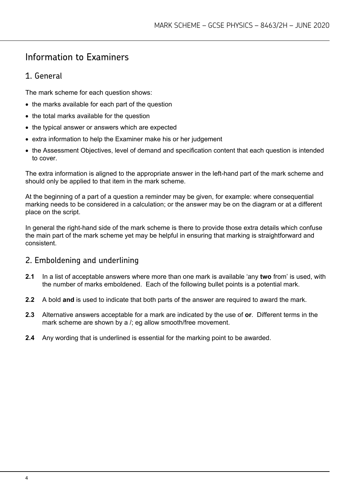# Information to Examiners

# 1. General

The mark scheme for each question shows:

- the marks available for each part of the question
- the total marks available for the question
- the typical answer or answers which are expected
- extra information to help the Examiner make his or her judgement
- the Assessment Objectives, level of demand and specification content that each question is intended to cover.

The extra information is aligned to the appropriate answer in the left-hand part of the mark scheme and should only be applied to that item in the mark scheme.

At the beginning of a part of a question a reminder may be given, for example: where consequential marking needs to be considered in a calculation; or the answer may be on the diagram or at a different place on the script.

In general the right-hand side of the mark scheme is there to provide those extra details which confuse the main part of the mark scheme yet may be helpful in ensuring that marking is straightforward and consistent.

### 2. Emboldening and underlining

- **2.1** In a list of acceptable answers where more than one mark is available 'any **two** from' is used, with the number of marks emboldened. Each of the following bullet points is a potential mark.
- **2.2** A bold **and** is used to indicate that both parts of the answer are required to award the mark.
- **2.3** Alternative answers acceptable for a mark are indicated by the use of **or**. Different terms in the mark scheme are shown by a /; eg allow smooth/free movement.
- **2.4** Any wording that is underlined is essential for the marking point to be awarded.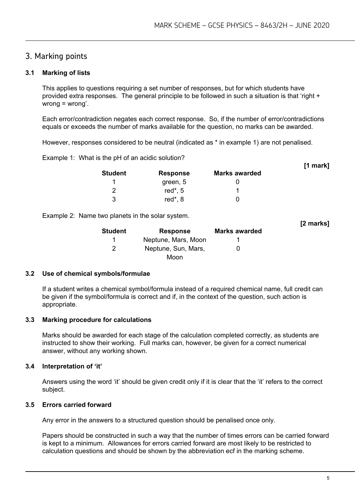# 3. Marking points

#### **3.1 Marking of lists**

This applies to questions requiring a set number of responses, but for which students have provided extra responses. The general principle to be followed in such a situation is that 'right + wrong = wrong'.

Each error/contradiction negates each correct response. So, if the number of error/contradictions equals or exceeds the number of marks available for the question, no marks can be awarded.

However, responses considered to be neutral (indicated as \* in example 1) are not penalised.

Example 1: What is the pH of an acidic solution?

| <b>Student</b> | <b>Response</b> | <b>Marks awarded</b> |  |
|----------------|-----------------|----------------------|--|
|                | green, 5        |                      |  |
|                | red $*$ , 5     |                      |  |
| 3              | red $*$ , 8     |                      |  |

Example 2: Name two planets in the solar system.

| <b>Student</b> | <b>Response</b>     | <b>Marks awarded</b> | [2 marks] |
|----------------|---------------------|----------------------|-----------|
|                | Neptune, Mars, Moon |                      |           |
|                | Neptune, Sun, Mars, |                      |           |
|                | Moon                |                      |           |

#### **3.2 Use of chemical symbols/formulae**

If a student writes a chemical symbol/formula instead of a required chemical name, full credit can be given if the symbol/formula is correct and if, in the context of the question, such action is appropriate.

#### **3.3 Marking procedure for calculations**

Marks should be awarded for each stage of the calculation completed correctly, as students are instructed to show their working. Full marks can, however, be given for a correct numerical answer, without any working shown.

#### **3.4 Interpretation of 'it'**

Answers using the word 'it' should be given credit only if it is clear that the 'it' refers to the correct subject.

#### **3.5 Errors carried forward**

Any error in the answers to a structured question should be penalised once only.

Papers should be constructed in such a way that the number of times errors can be carried forward is kept to a minimum. Allowances for errors carried forward are most likely to be restricted to calculation questions and should be shown by the abbreviation ecf in the marking scheme.

**[1 mark]**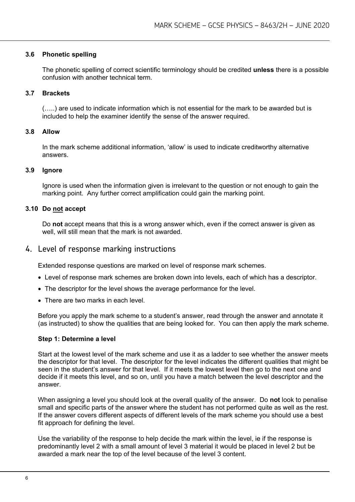#### **3.6 Phonetic spelling**

The phonetic spelling of correct scientific terminology should be credited **unless** there is a possible confusion with another technical term.

#### **3.7 Brackets**

(…..) are used to indicate information which is not essential for the mark to be awarded but is included to help the examiner identify the sense of the answer required.

#### **3.8 Allow**

In the mark scheme additional information, 'allow' is used to indicate creditworthy alternative answers.

#### **3.9 Ignore**

Ignore is used when the information given is irrelevant to the question or not enough to gain the marking point. Any further correct amplification could gain the marking point.

#### **3.10 Do not accept**

Do **not** accept means that this is a wrong answer which, even if the correct answer is given as well, will still mean that the mark is not awarded.

#### 4. Level of response marking instructions

Extended response questions are marked on level of response mark schemes.

- Level of response mark schemes are broken down into levels, each of which has a descriptor.
- The descriptor for the level shows the average performance for the level.
- There are two marks in each level.

Before you apply the mark scheme to a student's answer, read through the answer and annotate it (as instructed) to show the qualities that are being looked for. You can then apply the mark scheme.

#### **Step 1: Determine a level**

Start at the lowest level of the mark scheme and use it as a ladder to see whether the answer meets the descriptor for that level. The descriptor for the level indicates the different qualities that might be seen in the student's answer for that level. If it meets the lowest level then go to the next one and decide if it meets this level, and so on, until you have a match between the level descriptor and the answer.

When assigning a level you should look at the overall quality of the answer. Do **not** look to penalise small and specific parts of the answer where the student has not performed quite as well as the rest. If the answer covers different aspects of different levels of the mark scheme you should use a best fit approach for defining the level.

Use the variability of the response to help decide the mark within the level, ie if the response is predominantly level 2 with a small amount of level 3 material it would be placed in level 2 but be awarded a mark near the top of the level because of the level 3 content.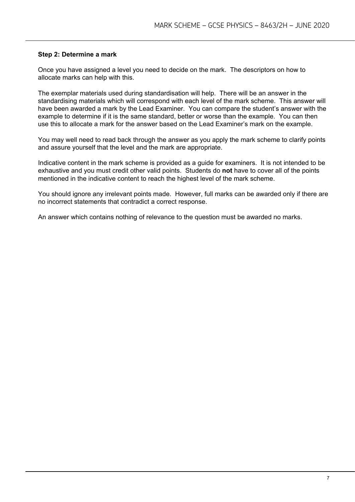#### **Step 2: Determine a mark**

Once you have assigned a level you need to decide on the mark. The descriptors on how to allocate marks can help with this.

The exemplar materials used during standardisation will help. There will be an answer in the standardising materials which will correspond with each level of the mark scheme. This answer will have been awarded a mark by the Lead Examiner. You can compare the student's answer with the example to determine if it is the same standard, better or worse than the example. You can then use this to allocate a mark for the answer based on the Lead Examiner's mark on the example.

You may well need to read back through the answer as you apply the mark scheme to clarify points and assure yourself that the level and the mark are appropriate.

Indicative content in the mark scheme is provided as a guide for examiners. It is not intended to be exhaustive and you must credit other valid points. Students do **not** have to cover all of the points mentioned in the indicative content to reach the highest level of the mark scheme.

You should ignore any irrelevant points made. However, full marks can be awarded only if there are no incorrect statements that contradict a correct response.

An answer which contains nothing of relevance to the question must be awarded no marks.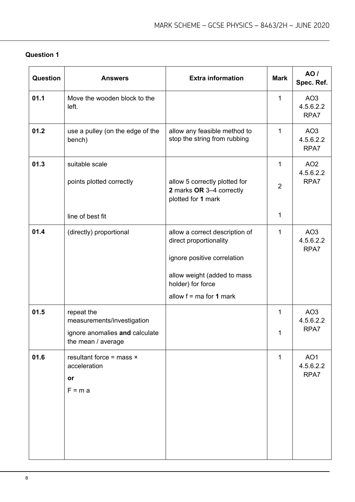| Question | <b>Answers</b>                                                                                   | <b>Extra information</b>                                                                                                                                                 | <b>Mark</b>         | AO <sub>I</sub><br>Spec. Ref.        |
|----------|--------------------------------------------------------------------------------------------------|--------------------------------------------------------------------------------------------------------------------------------------------------------------------------|---------------------|--------------------------------------|
| 01.1     | Move the wooden block to the<br>left.                                                            |                                                                                                                                                                          | 1                   | AO <sub>3</sub><br>4.5.6.2.2<br>RPA7 |
| 01.2     | use a pulley (on the edge of the<br>bench)                                                       | allow any feasible method to<br>stop the string from rubbing                                                                                                             | 1                   | AO <sub>3</sub><br>4.5.6.2.2<br>RPA7 |
| 01.3     | suitable scale<br>points plotted correctly                                                       | allow 5 correctly plotted for<br>2 marks OR 3-4 correctly<br>plotted for 1 mark                                                                                          | 1<br>$\overline{2}$ | AO <sub>2</sub><br>4.5.6.2.2<br>RPA7 |
|          | line of best fit                                                                                 |                                                                                                                                                                          | 1                   |                                      |
| 01.4     | (directly) proportional                                                                          | allow a correct description of<br>direct proportionality<br>ignore positive correlation<br>allow weight (added to mass<br>holder) for force<br>allow $f = ma$ for 1 mark | 1                   | AO <sub>3</sub><br>4.5.6.2.2<br>RPA7 |
| 01.5     | repeat the<br>measurements/investigation<br>ignore anomalies and calculate<br>the mean / average |                                                                                                                                                                          | 1<br>1              | AO <sub>3</sub><br>4.5.6.2.2<br>RPA7 |
| 01.6     | resultant force = mass $\times$<br>acceleration<br>or<br>$F = m a$                               |                                                                                                                                                                          | $\mathbf{1}$        | AO <sub>1</sub><br>4.5.6.2.2<br>RPA7 |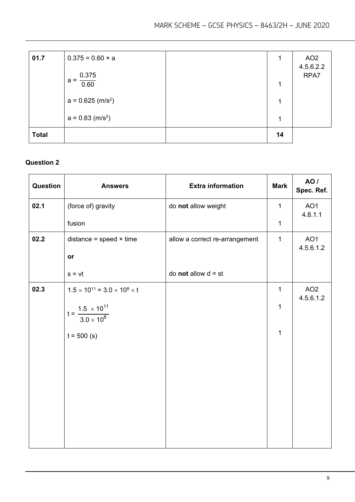| 01.7         | $0.375 = 0.60 \times a$<br>0.375<br>$a =$ | 1      | AO <sub>2</sub><br>4.5.6.2.2<br>RPA7 |
|--------------|-------------------------------------------|--------|--------------------------------------|
|              | 0.60<br>$a = 0.625$ (m/s <sup>2</sup> )   | 1<br>1 |                                      |
|              | $a = 0.63$ (m/s <sup>2</sup> )            | 1      |                                      |
| <b>Total</b> |                                           | 14     |                                      |

| Question | <b>Answers</b>                                   | <b>Extra information</b>       | <b>Mark</b>  | AO /<br>Spec. Ref.           |
|----------|--------------------------------------------------|--------------------------------|--------------|------------------------------|
| 02.1     | (force of) gravity                               | do not allow weight            | $\mathbf{1}$ | AO <sub>1</sub><br>4.8.1.1   |
|          | fusion                                           |                                | $\mathbf{1}$ |                              |
| 02.2     | distance = speed $\times$ time                   | allow a correct re-arrangement | $\mathbf{1}$ | AO <sub>1</sub><br>4.5.6.1.2 |
|          | or                                               |                                |              |                              |
|          | $s = vt$                                         | do <b>not</b> allow $d = st$   |              |                              |
| 02.3     | $1.5 \times 10^{11} = 3.0 \times 10^8 \times t$  |                                | $\mathbf{1}$ | AO <sub>2</sub><br>4.5.6.1.2 |
|          | $t = {1.5 \times 10^{11} \over 3.0 \times 10^8}$ |                                | 1            |                              |
|          | $t = 500$ (s)                                    |                                | $\mathbf 1$  |                              |
|          |                                                  |                                |              |                              |
|          |                                                  |                                |              |                              |
|          |                                                  |                                |              |                              |
|          |                                                  |                                |              |                              |
|          |                                                  |                                |              |                              |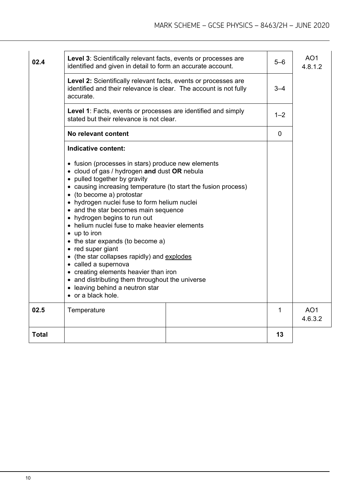| 02.4         | Level 3: Scientifically relevant facts, events or processes are<br>identified and given in detail to form an accurate account.                                                                                                                                                                                                                                                                                                                                                                                                                                                                                                                                                                                          |  | $5-6$   | AO <sub>1</sub><br>4.8.1.2 |
|--------------|-------------------------------------------------------------------------------------------------------------------------------------------------------------------------------------------------------------------------------------------------------------------------------------------------------------------------------------------------------------------------------------------------------------------------------------------------------------------------------------------------------------------------------------------------------------------------------------------------------------------------------------------------------------------------------------------------------------------------|--|---------|----------------------------|
|              | Level 2: Scientifically relevant facts, events or processes are<br>identified and their relevance is clear. The account is not fully<br>accurate.                                                                                                                                                                                                                                                                                                                                                                                                                                                                                                                                                                       |  | $3 - 4$ |                            |
|              | Level 1: Facts, events or processes are identified and simply<br>stated but their relevance is not clear.                                                                                                                                                                                                                                                                                                                                                                                                                                                                                                                                                                                                               |  |         |                            |
|              | No relevant content                                                                                                                                                                                                                                                                                                                                                                                                                                                                                                                                                                                                                                                                                                     |  |         |                            |
|              | Indicative content:                                                                                                                                                                                                                                                                                                                                                                                                                                                                                                                                                                                                                                                                                                     |  |         |                            |
|              | • fusion (processes in stars) produce new elements<br>• cloud of gas / hydrogen and dust OR nebula<br>• pulled together by gravity<br>• causing increasing temperature (to start the fusion process)<br>• (to become a) protostar<br>• hydrogen nuclei fuse to form helium nuclei<br>• and the star becomes main sequence<br>• hydrogen begins to run out<br>• helium nuclei fuse to make heavier elements<br>$\bullet$ up to iron<br>• the star expands (to become a)<br>• red super giant<br>• (the star collapses rapidly) and explodes<br>• called a supernova<br>• creating elements heavier than iron<br>• and distributing them throughout the universe<br>• leaving behind a neutron star<br>• or a black hole. |  |         |                            |
| 02.5         | Temperature                                                                                                                                                                                                                                                                                                                                                                                                                                                                                                                                                                                                                                                                                                             |  | 1       | AO <sub>1</sub><br>4.6.3.2 |
| <b>Total</b> |                                                                                                                                                                                                                                                                                                                                                                                                                                                                                                                                                                                                                                                                                                                         |  | 13      |                            |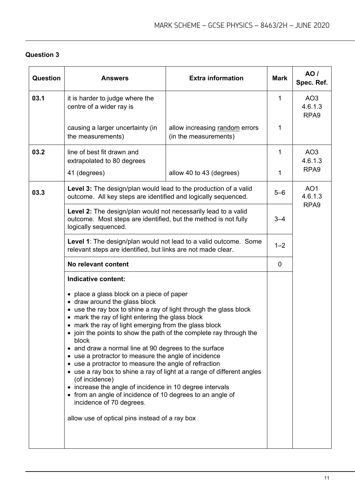| <b>Question</b> | <b>Answers</b>                                                                                                                                                                                                                                                                                                                                                                                                                                                                                                                                                                                                                                                                                                                                                                                                         | <b>Extra information</b>                                | <b>Mark</b> | <b>AO</b> /<br>Spec. Ref.                      |
|-----------------|------------------------------------------------------------------------------------------------------------------------------------------------------------------------------------------------------------------------------------------------------------------------------------------------------------------------------------------------------------------------------------------------------------------------------------------------------------------------------------------------------------------------------------------------------------------------------------------------------------------------------------------------------------------------------------------------------------------------------------------------------------------------------------------------------------------------|---------------------------------------------------------|-------------|------------------------------------------------|
| 03.1            | it is harder to judge where the<br>centre of a wider ray is                                                                                                                                                                                                                                                                                                                                                                                                                                                                                                                                                                                                                                                                                                                                                            |                                                         | 1           | AO <sub>3</sub><br>4.6.1.3<br>RPA <sub>9</sub> |
|                 | causing a larger uncertainty (in<br>the measurements)                                                                                                                                                                                                                                                                                                                                                                                                                                                                                                                                                                                                                                                                                                                                                                  | allow increasing random errors<br>(in the measurements) | 1           |                                                |
| 03.2            | line of best fit drawn and<br>extrapolated to 80 degrees                                                                                                                                                                                                                                                                                                                                                                                                                                                                                                                                                                                                                                                                                                                                                               |                                                         | 1           | AO <sub>3</sub><br>4.6.1.3                     |
|                 | 41 (degrees)                                                                                                                                                                                                                                                                                                                                                                                                                                                                                                                                                                                                                                                                                                                                                                                                           | allow 40 to 43 (degrees)                                | 1           | RPA <sub>9</sub>                               |
| 03.3            | Level 3: The design/plan would lead to the production of a valid<br>outcome. All key steps are identified and logically sequenced.                                                                                                                                                                                                                                                                                                                                                                                                                                                                                                                                                                                                                                                                                     |                                                         | $5 - 6$     | AO <sub>1</sub><br>4.6.1.3                     |
|                 | Level 2: The design/plan would not necessarily lead to a valid<br>outcome. Most steps are identified, but the method is not fully<br>logically sequenced.                                                                                                                                                                                                                                                                                                                                                                                                                                                                                                                                                                                                                                                              |                                                         | $3 - 4$     | RPA <sub>9</sub>                               |
|                 | <b>Level 1:</b> The design/plan would not lead to a valid outcome. Some<br>relevant steps are identified, but links are not made clear.<br>No relevant content                                                                                                                                                                                                                                                                                                                                                                                                                                                                                                                                                                                                                                                         |                                                         | $1 - 2$     |                                                |
|                 |                                                                                                                                                                                                                                                                                                                                                                                                                                                                                                                                                                                                                                                                                                                                                                                                                        |                                                         | $\mathbf 0$ |                                                |
|                 | Indicative content:                                                                                                                                                                                                                                                                                                                                                                                                                                                                                                                                                                                                                                                                                                                                                                                                    |                                                         |             |                                                |
|                 | • place a glass block on a piece of paper<br>• draw around the glass block<br>• use the ray box to shine a ray of light through the glass block<br>• mark the ray of light entering the glass block<br>• mark the ray of light emerging from the glass block<br>join the points to show the path of the complete ray through the<br>block<br>• and draw a normal line at 90 degrees to the surface<br>• use a protractor to measure the angle of incidence<br>• use a protractor to measure the angle of refraction<br>• use a ray box to shine a ray of light at a range of different angles<br>(of incidence)<br>• increase the angle of incidence in 10 degree intervals<br>• from an angle of incidence of 10 degrees to an angle of<br>incidence of 70 degrees.<br>allow use of optical pins instead of a ray box |                                                         |             |                                                |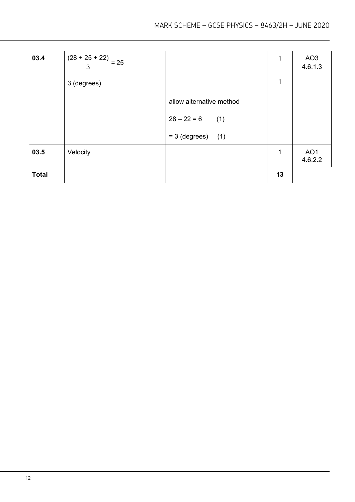| 03.4         | $\frac{(28 + 25 + 22)}{2} = 25$<br>3 |                          | 1<br>1 | AO <sub>3</sub><br>4.6.1.3 |
|--------------|--------------------------------------|--------------------------|--------|----------------------------|
|              | 3 (degrees)                          |                          |        |                            |
|              |                                      | allow alternative method |        |                            |
|              |                                      | $28 - 22 = 6$<br>(1)     |        |                            |
|              |                                      | $= 3$ (degrees) (1)      |        |                            |
| 03.5         | Velocity                             |                          | 1      | AO <sub>1</sub><br>4.6.2.2 |
| <b>Total</b> |                                      |                          | 13     |                            |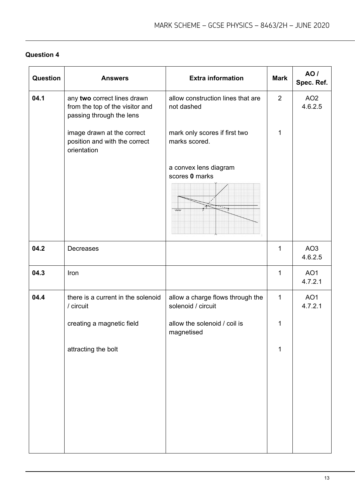| Question | <b>Answers</b>                                                                             | <b>Extra information</b>                               | <b>Mark</b>    | <b>AO</b> /<br>Spec. Ref.  |
|----------|--------------------------------------------------------------------------------------------|--------------------------------------------------------|----------------|----------------------------|
| 04.1     | any two correct lines drawn<br>from the top of the visitor and<br>passing through the lens | allow construction lines that are<br>not dashed        | $\overline{2}$ | AO <sub>2</sub><br>4.6.2.5 |
|          | image drawn at the correct<br>position and with the correct<br>orientation                 | mark only scores if first two<br>marks scored.         | 1              |                            |
|          |                                                                                            | a convex lens diagram<br>scores 0 marks<br>Visitor     |                |                            |
| 04.2     | Decreases                                                                                  |                                                        | 1              | AO <sub>3</sub><br>4.6.2.5 |
| 04.3     | Iron                                                                                       |                                                        | 1              | AO <sub>1</sub><br>4.7.2.1 |
| 04.4     | there is a current in the solenoid<br>/ circuit                                            | allow a charge flows through the<br>solenoid / circuit | $\mathbf{1}$   | AO <sub>1</sub><br>4.7.2.1 |
|          | creating a magnetic field                                                                  | allow the solenoid / coil is<br>magnetised             | 1              |                            |
|          | attracting the bolt                                                                        |                                                        | 1              |                            |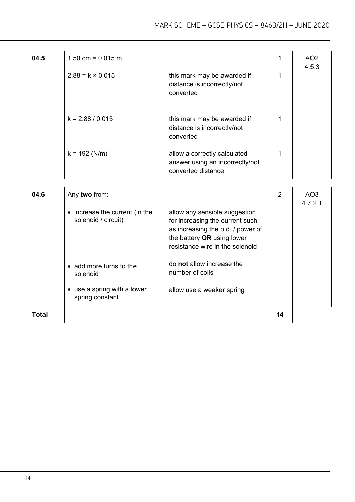| 04.5 | $1.50$ cm = 0.015 m     |                                                                                       |   | AO <sub>2</sub><br>4.5.3 |
|------|-------------------------|---------------------------------------------------------------------------------------|---|--------------------------|
|      | $2.88 = k \times 0.015$ | this mark may be awarded if<br>distance is incorrectly/not<br>converted               | 1 |                          |
|      | $k = 2.88 / 0.015$      | this mark may be awarded if<br>distance is incorrectly/not<br>converted               |   |                          |
|      | $k = 192$ (N/m)         | allow a correctly calculated<br>answer using an incorrectly/not<br>converted distance |   |                          |

| 04.6  | Any two from:<br>• increase the current (in the<br>solenoid / circuit)                | allow any sensible suggestion<br>for increasing the current such<br>as increasing the p.d. / power of<br>the battery OR using lower<br>resistance wire in the solenoid | 2  | AO3<br>4.7.2.1 |
|-------|---------------------------------------------------------------------------------------|------------------------------------------------------------------------------------------------------------------------------------------------------------------------|----|----------------|
|       | • add more turns to the<br>solenoid<br>• use a spring with a lower<br>spring constant | do not allow increase the<br>number of coils<br>allow use a weaker spring                                                                                              |    |                |
| Total |                                                                                       |                                                                                                                                                                        | 14 |                |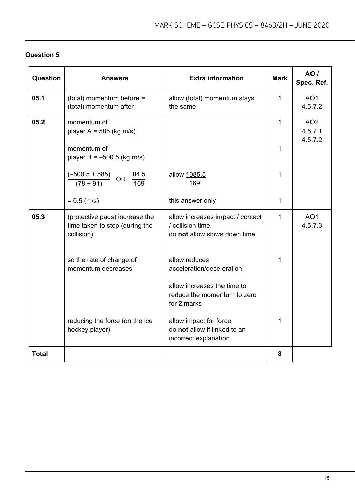| Question     | <b>Answers</b>                                                                 | <b>Extra information</b>                                                             | <b>Mark</b>  | <b>AO</b> /<br>Spec. Ref.             |
|--------------|--------------------------------------------------------------------------------|--------------------------------------------------------------------------------------|--------------|---------------------------------------|
| 05.1         | (total) momentum before =<br>(total) momentum after                            | allow (total) momentum stays<br>the same                                             | $\mathbf{1}$ | AO <sub>1</sub><br>4.5.7.2            |
| 05.2         | momentum of<br>player $A = 585$ (kg m/s)                                       |                                                                                      | $\mathbf{1}$ | AO <sub>2</sub><br>4.5.7.1<br>4.5.7.2 |
|              | momentum of<br>player B = $-500.5$ (kg m/s)                                    |                                                                                      | 1            |                                       |
|              | $(-500.5 + 585)$<br>84.5<br>OR<br>$(78 + 91)$<br>169                           | allow 1085.5<br>169                                                                  | 1            |                                       |
|              | $= 0.5$ (m/s)                                                                  | this answer only                                                                     | 1            |                                       |
| 05.3         | (protective pads) increase the<br>time taken to stop (during the<br>collision) | allow increases impact / contact<br>/ collision time<br>do not allow slows down time | 1            | AO <sub>1</sub><br>4.5.7.3            |
|              | so the rate of change of<br>momentum decreases                                 | allow reduces<br>acceleration/deceleration                                           | 1            |                                       |
|              |                                                                                | allow increases the time to<br>reduce the momentum to zero<br>for 2 marks            |              |                                       |
|              | reducing the force (on the ice<br>hockey player)                               | allow impact for force<br>do not allow if linked to an<br>incorrect explanation      | 1            |                                       |
| <b>Total</b> |                                                                                |                                                                                      | 8            |                                       |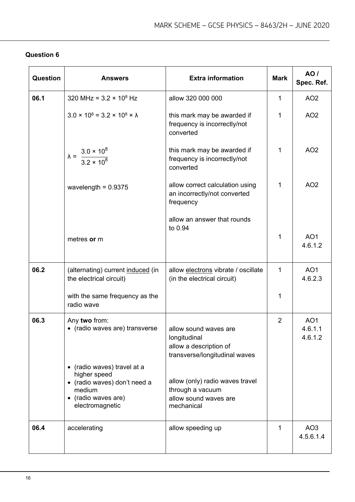| Question | <b>Answers</b>                                                                                                                | <b>Extra information</b>                                                                         | <b>Mark</b>    | <b>AO</b> /<br>Spec. Ref.             |
|----------|-------------------------------------------------------------------------------------------------------------------------------|--------------------------------------------------------------------------------------------------|----------------|---------------------------------------|
| 06.1     | 320 MHz = $3.2 \times 10^8$ Hz                                                                                                | allow 320 000 000                                                                                | 1              | AO <sub>2</sub>                       |
|          | $3.0 \times 10^8 = 3.2 \times 10^8 \times \lambda$                                                                            | this mark may be awarded if<br>frequency is incorrectly/not<br>converted                         | 1              | AO <sub>2</sub>                       |
|          | $\lambda = \frac{3.0 \times 10^8}{3.2 \times 10^8}$                                                                           | this mark may be awarded if<br>frequency is incorrectly/not<br>converted                         | 1              | AO <sub>2</sub>                       |
|          | wavelength = $0.9375$                                                                                                         | allow correct calculation using<br>an incorrectly/not converted<br>frequency                     | 1              | AO <sub>2</sub>                       |
|          |                                                                                                                               | allow an answer that rounds<br>to 0.94                                                           |                |                                       |
|          | metres or m                                                                                                                   |                                                                                                  | 1              | AO <sub>1</sub><br>4.6.1.2            |
| 06.2     | (alternating) current induced (in<br>the electrical circuit)                                                                  | allow electrons vibrate / oscillate<br>(in the electrical circuit)                               | $\mathbf{1}$   | AO <sub>1</sub><br>4.6.2.3            |
|          | with the same frequency as the<br>radio wave                                                                                  |                                                                                                  | 1              |                                       |
| 06.3     | Any two from:<br>• (radio waves are) transverse                                                                               | allow sound waves are<br>longitudinal<br>allow a description of<br>transverse/longitudinal waves | $\overline{2}$ | AO <sub>1</sub><br>4.6.1.1<br>4.6.1.2 |
|          | (radio waves) travel at a<br>higher speed<br>• (radio waves) don't need a<br>medium<br>• (radio waves are)<br>electromagnetic | allow (only) radio waves travel<br>through a vacuum<br>allow sound waves are<br>mechanical       |                |                                       |
| 06.4     | accelerating                                                                                                                  | allow speeding up                                                                                | 1              | AO <sub>3</sub><br>4.5.6.1.4          |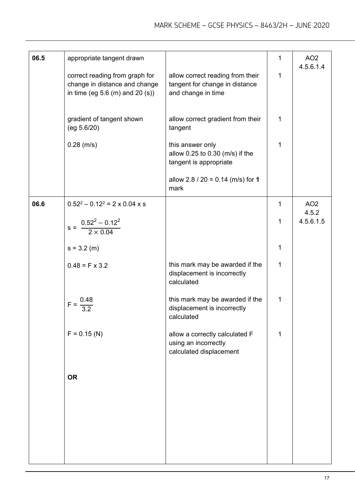| 06.5 | appropriate tangent drawn                                                                              |                                                                                          | $\mathbf{1}$ | AO <sub>2</sub><br>4.5.6.1.4 |
|------|--------------------------------------------------------------------------------------------------------|------------------------------------------------------------------------------------------|--------------|------------------------------|
|      | correct reading from graph for<br>change in distance and change<br>in time (eg $5.6$ (m) and $20$ (s)) | allow correct reading from their<br>tangent for change in distance<br>and change in time | $\mathbf{1}$ |                              |
|      | gradient of tangent shown<br>(eg 5.6/20)                                                               | allow correct gradient from their<br>tangent                                             | $\mathbf{1}$ |                              |
|      | $0.28$ (m/s)                                                                                           | this answer only<br>allow 0.25 to 0.30 (m/s) if the<br>tangent is appropriate            | 1            |                              |
|      |                                                                                                        | allow $2.8 / 20 = 0.14$ (m/s) for 1<br>mark                                              |              |                              |
| 06.6 | $0.52^2 - 0.12^2 = 2 \times 0.04 \times s$                                                             |                                                                                          | $\mathbf{1}$ | AO <sub>2</sub><br>4.5.2     |
|      | $s = \frac{0.52^2 - 0.12^2}{2 \times 0.04}$                                                            |                                                                                          | $\mathbf{1}$ | 4.5.6.1.5                    |
|      | $s = 3.2$ (m)                                                                                          |                                                                                          | $\mathbf{1}$ |                              |
|      | $0.48 = F \times 3.2$                                                                                  | this mark may be awarded if the<br>displacement is incorrectly<br>calculated             | $\mathbf 1$  |                              |
|      | $\frac{0.48}{3.2}$<br>$F = -$                                                                          | this mark may be awarded if the<br>displacement is incorrectly<br>calculated             | $\mathbf{1}$ |                              |
|      | $F = 0.15$ (N)                                                                                         | allow a correctly calculated F<br>using an incorrectly<br>calculated displacement        | 1            |                              |
|      | <b>OR</b>                                                                                              |                                                                                          |              |                              |
|      |                                                                                                        |                                                                                          |              |                              |
|      |                                                                                                        |                                                                                          |              |                              |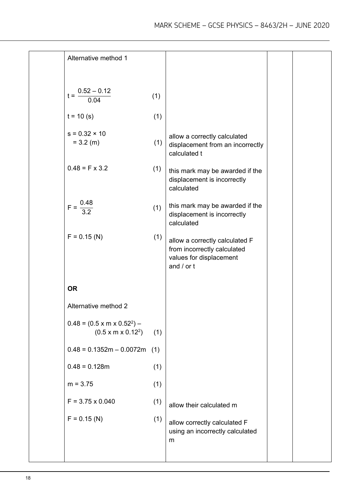| Alternative method 1                                                      |     |                                                                                                            |  |
|---------------------------------------------------------------------------|-----|------------------------------------------------------------------------------------------------------------|--|
| $t = \frac{0.52 - 0.12}{0.04}$                                            | (1) |                                                                                                            |  |
| $t = 10$ (s)                                                              | (1) |                                                                                                            |  |
| $s = 0.32 \times 10$<br>$= 3.2$ (m)                                       | (1) | allow a correctly calculated<br>displacement from an incorrectly<br>calculated t                           |  |
| $0.48 = F \times 3.2$                                                     | (1) | this mark may be awarded if the<br>displacement is incorrectly<br>calculated                               |  |
| $F = \frac{0.48}{3.2}$                                                    | (1) | this mark may be awarded if the<br>displacement is incorrectly<br>calculated                               |  |
| $F = 0.15$ (N)                                                            | (1) | allow a correctly calculated F<br>from incorrectly calculated<br>values for displacement<br>and $/$ or $t$ |  |
| <b>OR</b>                                                                 |     |                                                                                                            |  |
| Alternative method 2                                                      |     |                                                                                                            |  |
| $0.48 = (0.5 \times m \times 0.52^2)$ –<br>(0.5 x m x 0.12 <sup>2</sup> ) | (1) |                                                                                                            |  |
| $0.48 = 0.1352m - 0.0072m$                                                | (1) |                                                                                                            |  |
| $0.48 = 0.128m$                                                           | (1) |                                                                                                            |  |
| $m = 3.75$                                                                | (1) |                                                                                                            |  |
| $F = 3.75 \times 0.040$                                                   | (1) | allow their calculated m                                                                                   |  |
| $F = 0.15$ (N)                                                            | (1) | allow correctly calculated F<br>using an incorrectly calculated<br>m                                       |  |
|                                                                           |     |                                                                                                            |  |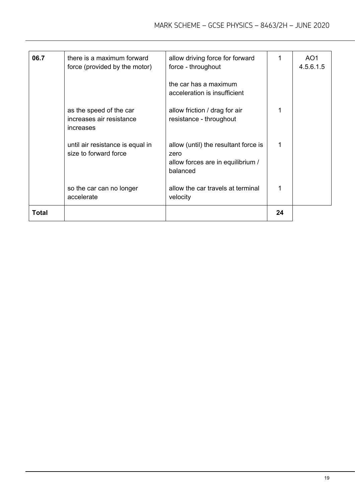| 06.7  | there is a maximum forward<br>force (provided by the motor)      | allow driving force for forward<br>force - throughout                                         | 1  | AO <sub>1</sub><br>4.5.6.1.5 |
|-------|------------------------------------------------------------------|-----------------------------------------------------------------------------------------------|----|------------------------------|
|       |                                                                  | the car has a maximum<br>acceleration is insufficient                                         |    |                              |
|       | as the speed of the car<br>increases air resistance<br>increases | allow friction / drag for air<br>resistance - throughout                                      |    |                              |
|       | until air resistance is equal in<br>size to forward force        | allow (until) the resultant force is<br>zero<br>allow forces are in equilibrium /<br>balanced | 1  |                              |
|       | so the car can no longer<br>accelerate                           | allow the car travels at terminal<br>velocity                                                 |    |                              |
| Total |                                                                  |                                                                                               | 24 |                              |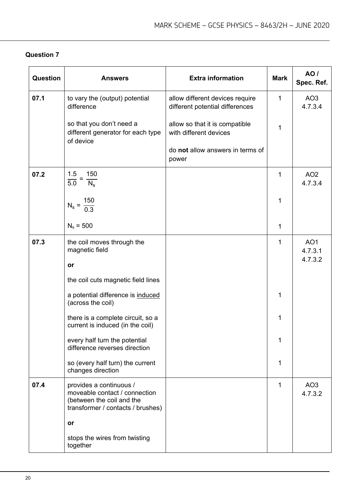| <b>Question</b> | <b>Answers</b>                                                                                                             | <b>Extra information</b>                                           | <b>Mark</b>  | AO /<br>Spec. Ref.         |
|-----------------|----------------------------------------------------------------------------------------------------------------------------|--------------------------------------------------------------------|--------------|----------------------------|
| 07.1            | to vary the (output) potential<br>difference                                                                               | allow different devices require<br>different potential differences | $\mathbf{1}$ | AO <sub>3</sub><br>4.7.3.4 |
|                 | so that you don't need a<br>different generator for each type<br>of device                                                 | allow so that it is compatible<br>with different devices           | 1            |                            |
|                 |                                                                                                                            | do not allow answers in terms of<br>power                          |              |                            |
| 07.2            | 1.5<br>150<br>$\overline{5.0}$<br>$N_{\rm s}$                                                                              |                                                                    | 1            | AO <sub>2</sub><br>4.7.3.4 |
|                 | $N_s = \frac{150}{0.3}$                                                                                                    |                                                                    | 1            |                            |
|                 | $N_s = 500$                                                                                                                |                                                                    | 1            |                            |
| 07.3            | the coil moves through the<br>magnetic field                                                                               |                                                                    | 1            | AO <sub>1</sub><br>4.7.3.1 |
|                 | or                                                                                                                         |                                                                    |              | 4.7.3.2                    |
|                 | the coil cuts magnetic field lines                                                                                         |                                                                    |              |                            |
|                 | a potential difference is induced<br>(across the coil)                                                                     |                                                                    | 1            |                            |
|                 | there is a complete circuit, so a<br>current is induced (in the coil)                                                      |                                                                    | 1            |                            |
|                 | every half turn the potential<br>difference reverses direction                                                             |                                                                    | 1            |                            |
|                 | so (every half turn) the current<br>changes direction                                                                      |                                                                    | 1            |                            |
| 07.4            | provides a continuous /<br>moveable contact / connection<br>(between the coil and the<br>transformer / contacts / brushes) |                                                                    | 1            | AO <sub>3</sub><br>4.7.3.2 |
|                 | or                                                                                                                         |                                                                    |              |                            |
|                 | stops the wires from twisting<br>together                                                                                  |                                                                    |              |                            |